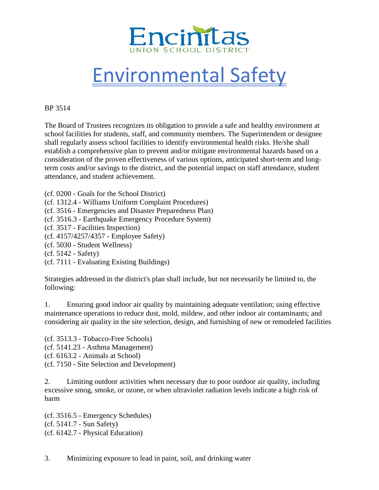

## Environmental Safety

## BP 3514

The Board of Trustees recognizes its obligation to provide a safe and healthy environment at school facilities for students, staff, and community members. The Superintendent or designee shall regularly assess school facilities to identify environmental health risks. He/she shall establish a comprehensive plan to prevent and/or mitigate environmental hazards based on a consideration of the proven effectiveness of various options, anticipated short-term and longterm costs and/or savings to the district, and the potential impact on staff attendance, student attendance, and student achievement.

(cf. 0200 - Goals for the School District)

(cf. 1312.4 - Williams Uniform Complaint Procedures)

(cf. 3516 - Emergencies and Disaster Preparedness Plan)

(cf. 3516.3 - Earthquake Emergency Procedure System)

(cf. 3517 - Facilities Inspection)

(cf. 4157/4257/4357 - Employee Safety)

(cf. 5030 - Student Wellness)

(cf. 5142 - Safety)

(cf. 7111 - Evaluating Existing Buildings)

Strategies addressed in the district's plan shall include, but not necessarily be limited to, the following:

1. Ensuring good indoor air quality by maintaining adequate ventilation; using effective maintenance operations to reduce dust, mold, mildew, and other indoor air contaminants; and considering air quality in the site selection, design, and furnishing of new or remodeled facilities

(cf. 3513.3 - Tobacco-Free Schools) (cf. 5141.23 - Asthma Management) (cf. 6163.2 - Animals at School) (cf. 7150 - Site Selection and Development)

2. Limiting outdoor activities when necessary due to poor outdoor air quality, including excessive smog, smoke, or ozone, or when ultraviolet radiation levels indicate a high risk of harm

(cf. 3516.5 - Emergency Schedules) (cf. 5141.7 - Sun Safety) (cf. 6142.7 - Physical Education)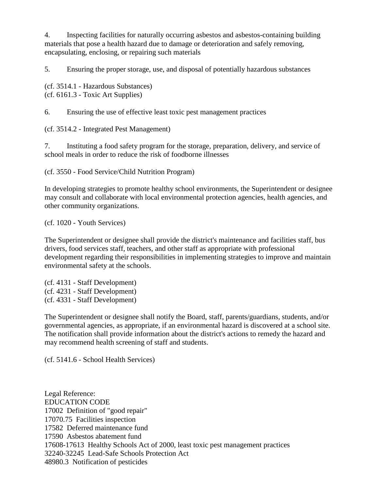4. Inspecting facilities for naturally occurring asbestos and asbestos-containing building materials that pose a health hazard due to damage or deterioration and safely removing, encapsulating, enclosing, or repairing such materials

5. Ensuring the proper storage, use, and disposal of potentially hazardous substances

(cf. 3514.1 - Hazardous Substances) (cf. 6161.3 - Toxic Art Supplies)

6. Ensuring the use of effective least toxic pest management practices

(cf. 3514.2 - Integrated Pest Management)

7. Instituting a food safety program for the storage, preparation, delivery, and service of school meals in order to reduce the risk of foodborne illnesses

(cf. 3550 - Food Service/Child Nutrition Program)

In developing strategies to promote healthy school environments, the Superintendent or designee may consult and collaborate with local environmental protection agencies, health agencies, and other community organizations.

(cf. 1020 - Youth Services)

The Superintendent or designee shall provide the district's maintenance and facilities staff, bus drivers, food services staff, teachers, and other staff as appropriate with professional development regarding their responsibilities in implementing strategies to improve and maintain environmental safety at the schools.

(cf. 4131 - Staff Development) (cf. 4231 - Staff Development) (cf. 4331 - Staff Development)

The Superintendent or designee shall notify the Board, staff, parents/guardians, students, and/or governmental agencies, as appropriate, if an environmental hazard is discovered at a school site. The notification shall provide information about the district's actions to remedy the hazard and may recommend health screening of staff and students.

(cf. 5141.6 - School Health Services)

Legal Reference: EDUCATION CODE 17002 Definition of "good repair" 17070.75 Facilities inspection 17582 Deferred maintenance fund 17590 Asbestos abatement fund 17608-17613 Healthy Schools Act of 2000, least toxic pest management practices 32240-32245 Lead-Safe Schools Protection Act 48980.3 Notification of pesticides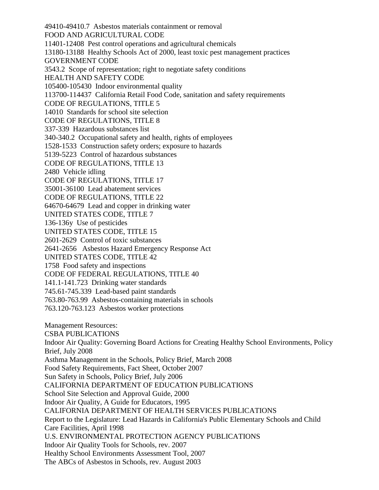49410-49410.7 Asbestos materials containment or removal FOOD AND AGRICULTURAL CODE 11401-12408 Pest control operations and agricultural chemicals 13180-13188 Healthy Schools Act of 2000, least toxic pest management practices GOVERNMENT CODE 3543.2 Scope of representation; right to negotiate safety conditions HEALTH AND SAFETY CODE 105400-105430 Indoor environmental quality 113700-114437 California Retail Food Code, sanitation and safety requirements CODE OF REGULATIONS, TITLE 5 14010 Standards for school site selection CODE OF REGULATIONS, TITLE 8 337-339 Hazardous substances list 340-340.2 Occupational safety and health, rights of employees 1528-1533 Construction safety orders; exposure to hazards 5139-5223 Control of hazardous substances CODE OF REGULATIONS, TITLE 13 2480 Vehicle idling CODE OF REGULATIONS, TITLE 17 35001-36100 Lead abatement services CODE OF REGULATIONS, TITLE 22 64670-64679 Lead and copper in drinking water UNITED STATES CODE, TITLE 7 136-136y Use of pesticides UNITED STATES CODE, TITLE 15 2601-2629 Control of toxic substances 2641-2656 Asbestos Hazard Emergency Response Act UNITED STATES CODE, TITLE 42 1758 Food safety and inspections CODE OF FEDERAL REGULATIONS, TITLE 40 141.1-141.723 Drinking water standards 745.61-745.339 Lead-based paint standards 763.80-763.99 Asbestos-containing materials in schools 763.120-763.123 Asbestos worker protections Management Resources: CSBA PUBLICATIONS Indoor Air Quality: Governing Board Actions for Creating Healthy School Environments, Policy Brief, July 2008 Asthma Management in the Schools, Policy Brief, March 2008 Food Safety Requirements, Fact Sheet, October 2007 Sun Safety in Schools, Policy Brief, July 2006 CALIFORNIA DEPARTMENT OF EDUCATION PUBLICATIONS School Site Selection and Approval Guide, 2000 Indoor Air Quality, A Guide for Educators, 1995 CALIFORNIA DEPARTMENT OF HEALTH SERVICES PUBLICATIONS Report to the Legislature: Lead Hazards in California's Public Elementary Schools and Child Care Facilities, April 1998 U.S. ENVIRONMENTAL PROTECTION AGENCY PUBLICATIONS Indoor Air Quality Tools for Schools, rev. 2007 Healthy School Environments Assessment Tool, 2007 The ABCs of Asbestos in Schools, rev. August 2003